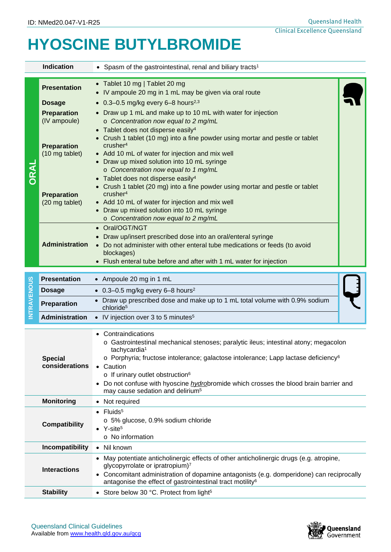## **HYOSCINE BUTYLBROMIDE**

|                    | <b>Indication</b>                    | • Spasm of the gastrointestinal, renal and biliary tracts <sup>1</sup>                                                                                                                                                                                                                                                                                                                                                                               |  |  |  |
|--------------------|--------------------------------------|------------------------------------------------------------------------------------------------------------------------------------------------------------------------------------------------------------------------------------------------------------------------------------------------------------------------------------------------------------------------------------------------------------------------------------------------------|--|--|--|
| DRAL               | <b>Presentation</b>                  | • Tablet 10 mg   Tablet 20 mg<br>IV ampoule 20 mg in 1 mL may be given via oral route                                                                                                                                                                                                                                                                                                                                                                |  |  |  |
|                    | <b>Dosage</b>                        | • $0.3 - 0.5$ mg/kg every 6-8 hours <sup>2,3</sup>                                                                                                                                                                                                                                                                                                                                                                                                   |  |  |  |
|                    | <b>Preparation</b><br>(IV ampoule)   | • Draw up 1 mL and make up to 10 mL with water for injection<br>o Concentration now equal to 2 mg/mL<br>• Tablet does not disperse easily <sup>4</sup>                                                                                                                                                                                                                                                                                               |  |  |  |
|                    | <b>Preparation</b><br>(10 mg tablet) | Crush 1 tablet (10 mg) into a fine powder using mortar and pestle or tablet<br>crusher <sup>4</sup><br>• Add 10 mL of water for injection and mix well<br>• Draw up mixed solution into 10 mL syringe<br>o Concentration now equal to 1 mg/mL                                                                                                                                                                                                        |  |  |  |
|                    | <b>Preparation</b><br>(20 mg tablet) | Tablet does not disperse easily <sup>4</sup><br>Crush 1 tablet (20 mg) into a fine powder using mortar and pestle or tablet<br>crusher <sup>4</sup><br>• Add 10 mL of water for injection and mix well<br>• Draw up mixed solution into 10 mL syringe<br>o Concentration now equal to 2 mg/mL<br>• Oral/OGT/NGT                                                                                                                                      |  |  |  |
|                    | <b>Administration</b>                | Draw up/insert prescribed dose into an oral/enteral syringe<br>• Do not administer with other enteral tube medications or feeds (to avoid<br>blockages)<br>• Flush enteral tube before and after with 1 mL water for injection                                                                                                                                                                                                                       |  |  |  |
|                    | <b>Presentation</b>                  | • Ampoule 20 mg in 1 mL                                                                                                                                                                                                                                                                                                                                                                                                                              |  |  |  |
| <b>INTRAVENOUS</b> | <b>Dosage</b>                        | • 0.3-0.5 mg/kg every 6-8 hours <sup>2</sup>                                                                                                                                                                                                                                                                                                                                                                                                         |  |  |  |
|                    | Preparation                          | Draw up prescribed dose and make up to 1 mL total volume with 0.9% sodium<br>chloride <sup>5</sup>                                                                                                                                                                                                                                                                                                                                                   |  |  |  |
|                    | <b>Administration</b>                | • IV injection over 3 to 5 minutes $5$                                                                                                                                                                                                                                                                                                                                                                                                               |  |  |  |
|                    | <b>Special</b><br>considerations     | • Contraindications<br>o Gastrointestinal mechanical stenoses; paralytic ileus; intestinal atony; megacolon<br>tachycardia <sup>1</sup><br>o Porphyria; fructose intolerance; galactose intolerance; Lapp lactase deficiency <sup>6</sup><br>• Caution<br>o If urinary outlet obstruction <sup>6</sup><br>Do not confuse with hyoscine <i>hydrobromide</i> which crosses the blood brain barrier and<br>may cause sedation and delirium <sup>5</sup> |  |  |  |
|                    | <b>Monitoring</b>                    | • Not required                                                                                                                                                                                                                                                                                                                                                                                                                                       |  |  |  |
|                    | <b>Compatibility</b>                 | $\bullet$ Fluids <sup>5</sup><br>o 5% glucose, 0.9% sodium chloride<br>• $Y\text{-site}^5$<br>o No information                                                                                                                                                                                                                                                                                                                                       |  |  |  |
|                    | Incompatibility                      | Nil known<br>$\bullet$                                                                                                                                                                                                                                                                                                                                                                                                                               |  |  |  |
|                    | <b>Interactions</b>                  | • May potentiate anticholinergic effects of other anticholinergic drugs (e.g. atropine,<br>glycopyrrolate or ipratropium) <sup>7</sup><br>Concomitant administration of dopamine antagonists (e.g. domperidone) can reciprocally<br>antagonise the effect of gastrointestinal tract motility <sup>6</sup>                                                                                                                                            |  |  |  |
| <b>Stability</b>   |                                      | • Store below 30 °C. Protect from light <sup>5</sup>                                                                                                                                                                                                                                                                                                                                                                                                 |  |  |  |